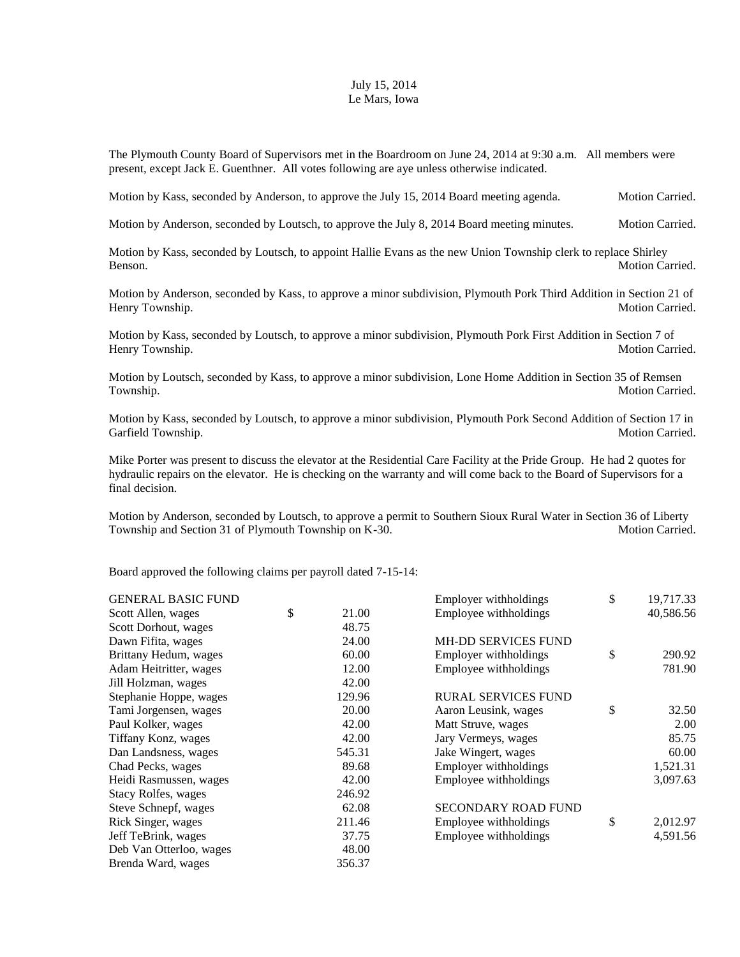## July 15, 2014 Le Mars, Iowa

The Plymouth County Board of Supervisors met in the Boardroom on June 24, 2014 at 9:30 a.m. All members were present, except Jack E. Guenthner. All votes following are aye unless otherwise indicated.

Motion by Kass, seconded by Anderson, to approve the July 15, 2014 Board meeting agenda. Motion Carried.

Motion by Anderson, seconded by Loutsch, to approve the July 8, 2014 Board meeting minutes. Motion Carried.

Motion by Kass, seconded by Loutsch, to appoint Hallie Evans as the new Union Township clerk to replace Shirley Benson. Motion Carried.

Motion by Anderson, seconded by Kass, to approve a minor subdivision, Plymouth Pork Third Addition in Section 21 of Henry Township. Motion Carried.

Motion by Kass, seconded by Loutsch, to approve a minor subdivision, Plymouth Pork First Addition in Section 7 of Henry Township. Motion Carried.

Motion by Loutsch, seconded by Kass, to approve a minor subdivision, Lone Home Addition in Section 35 of Remsen Township. Motion Carried.

Motion by Kass, seconded by Loutsch, to approve a minor subdivision, Plymouth Pork Second Addition of Section 17 in Garfield Township. Motion Carried. The contract of the contract of the contract of the contract of the contract of the contract of the contract of the contract of the contract of the contract of the contract of the contrac

Mike Porter was present to discuss the elevator at the Residential Care Facility at the Pride Group. He had 2 quotes for hydraulic repairs on the elevator. He is checking on the warranty and will come back to the Board of Supervisors for a final decision.

Motion by Anderson, seconded by Loutsch, to approve a permit to Southern Sioux Rural Water in Section 36 of Liberty Township and Section 31 of Plymouth Township on K-30. Motion Carried.

Board approved the following claims per payroll dated 7-15-14:

| <b>GENERAL BASIC FUND</b> |             | Employer withholdings      | \$<br>19,717.33 |
|---------------------------|-------------|----------------------------|-----------------|
| Scott Allen, wages        | \$<br>21.00 | Employee withholdings      | 40,586.56       |
| Scott Dorhout, wages      | 48.75       |                            |                 |
| Dawn Fifita, wages        | 24.00       | <b>MH-DD SERVICES FUND</b> |                 |
| Brittany Hedum, wages     | 60.00       | Employer withholdings      | \$<br>290.92    |
| Adam Heitritter, wages    | 12.00       | Employee withholdings      | 781.90          |
| Jill Holzman, wages       | 42.00       |                            |                 |
| Stephanie Hoppe, wages    | 129.96      | <b>RURAL SERVICES FUND</b> |                 |
| Tami Jorgensen, wages     | 20.00       | Aaron Leusink, wages       | \$<br>32.50     |
| Paul Kolker, wages        | 42.00       | Matt Struve, wages         | 2.00            |
| Tiffany Konz, wages       | 42.00       | Jary Vermeys, wages        | 85.75           |
| Dan Landsness, wages      | 545.31      | Jake Wingert, wages        | 60.00           |
| Chad Pecks, wages         | 89.68       | Employer withholdings      | 1,521.31        |
| Heidi Rasmussen, wages    | 42.00       | Employee withholdings      | 3,097.63        |
| Stacy Rolfes, wages       | 246.92      |                            |                 |
| Steve Schnepf, wages      | 62.08       | <b>SECONDARY ROAD FUND</b> |                 |
| Rick Singer, wages        | 211.46      | Employee withholdings      | \$<br>2,012.97  |
| Jeff TeBrink, wages       | 37.75       | Employee withholdings      | 4,591.56        |
| Deb Van Otterloo, wages   | 48.00       |                            |                 |
| Brenda Ward, wages        | 356.37      |                            |                 |